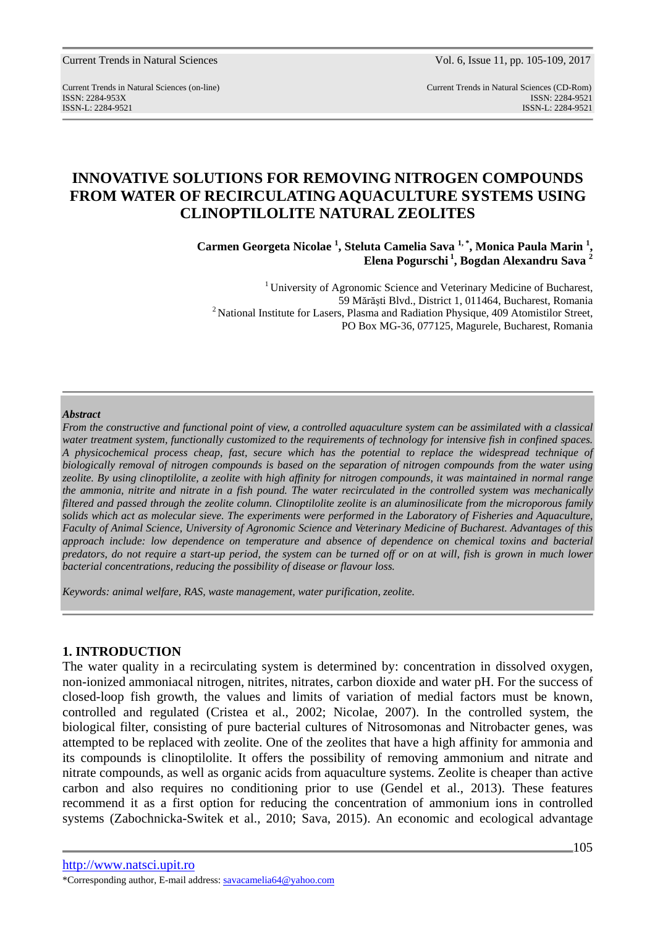Current Trends in Natural Sciences Vol. 6, Issue 11, pp. 105-109, 2017

Current Trends in Natural Sciences (on-line) Current Trends in Natural Sciences (CD-Rom) ISSN: 2284-953XISSN: 2284-9521 ISSN-L: 2284-9521 ISSN-L: 2284-9521

# **INNOVATIVE SOLUTIONS FOR REMOVING NITROGEN COMPOUNDS FROM WATER OF RECIRCULATING AQUACULTURE SYSTEMS USING CLINOPTILOLITE NATURAL ZEOLITES**

**Carmen Georgeta Nicolae <sup>1</sup> , Steluta Camelia Sava 1, \*, Monica Paula Marin <sup>1</sup> , Elena Pogurschi<sup>1</sup>, Bogdan Alexandru Sava <sup>2</sup>**

<sup>1</sup> University of Agronomic Science and Veterinary Medicine of Bucharest, 59 Mărăşti Blvd., District 1, 011464, Bucharest, Romania <sup>2</sup> National Institute for Lasers, Plasma and Radiation Physique, 409 Atomistilor Street, PO Box MG-36, 077125, Magurele, Bucharest, Romania

#### *Abstract*

*From the constructive and functional point of view, a controlled aquaculture system can be assimilated with a classical water treatment system, functionally customized to the requirements of technology for intensive fish in confined spaces. A physicochemical process cheap, fast, secure which has the potential to replace the widespread technique of biologically removal of nitrogen compounds is based on the separation of nitrogen compounds from the water using zeolite. By using clinoptilolite, a zeolite with high affinity for nitrogen compounds, it was maintained in normal range the ammonia, nitrite and nitrate in a fish pound. The water recirculated in the controlled system was mechanically filtered and passed through the zeolite column. Clinoptilolite zeolite is an aluminosilicate from the microporous family solids which act as molecular sieve. The experiments were performed in the Laboratory of Fisheries and Aquaculture, Faculty of Animal Science, University of Agronomic Science and Veterinary Medicine of Bucharest. Advantages of this approach include: low dependence on temperature and absence of dependence on chemical toxins and bacterial predators, do not require a start-up period, the system can be turned off or on at will, fish is grown in much lower bacterial concentrations, reducing the possibility of disease or flavour loss.* 

*Keywords: animal welfare, RAS, waste management, water purification, zeolite.* 

### **1. INTRODUCTION**

The water quality in a recirculating system is determined by: concentration in dissolved oxygen, non-ionized ammoniacal nitrogen, nitrites, nitrates, carbon dioxide and water pH. For the success of closed-loop fish growth, the values and limits of variation of medial factors must be known, controlled and regulated (Cristea et al., 2002; Nicolae, 2007). In the controlled system, the biological filter, consisting of pure bacterial cultures of Nitrosomonas and Nitrobacter genes, was attempted to be replaced with zeolite. One of the zeolites that have a high affinity for ammonia and its compounds is clinoptilolite. It offers the possibility of removing ammonium and nitrate and nitrate compounds, as well as organic acids from aquaculture systems. Zeolite is cheaper than active carbon and also requires no conditioning prior to use (Gendel et al., 2013). These features recommend it as a first option for reducing the concentration of ammonium ions in controlled systems (Zabochnicka-Switek et al., 2010; Sava, 2015). An economic and ecological advantage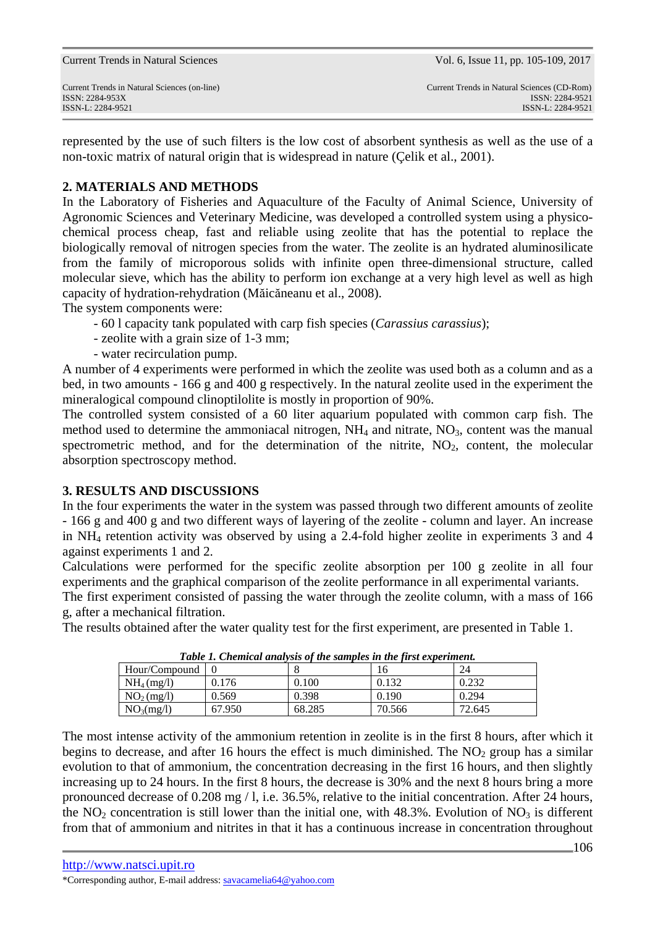represented by the use of such filters is the low cost of absorbent synthesis as well as the use of a non-toxic matrix of natural origin that is widespread in nature (Çelik et al., 2001).

## **2. MATERIALS AND METHODS**

In the Laboratory of Fisheries and Aquaculture of the Faculty of Animal Science, University of Agronomic Sciences and Veterinary Medicine, was developed a controlled system using a physicochemical process cheap, fast and reliable using zeolite that has the potential to replace the biologically removal of nitrogen species from the water. The zeolite is an hydrated aluminosilicate from the family of microporous solids with infinite open three-dimensional structure, called molecular sieve, which has the ability to perform ion exchange at a very high level as well as high capacity of hydration-rehydration (Măicăneanu et al., 2008).

The system components were:

- 60 l capacity tank populated with carp fish species (*Carassius carassius*);
- zeolite with a grain size of 1-3 mm;
- water recirculation pump.

A number of 4 experiments were performed in which the zeolite was used both as a column and as a bed, in two amounts - 166 g and 400 g respectively. In the natural zeolite used in the experiment the mineralogical compound clinoptilolite is mostly in proportion of 90%.

The controlled system consisted of a 60 liter aquarium populated with common carp fish. The method used to determine the ammoniacal nitrogen,  $NH_4$  and nitrate,  $NO_3$ , content was the manual spectrometric method, and for the determination of the nitrite,  $NO<sub>2</sub>$ , content, the molecular absorption spectroscopy method.

### **3. RESULTS AND DISCUSSIONS**

In the four experiments the water in the system was passed through two different amounts of zeolite - 166 g and 400 g and two different ways of layering of the zeolite - column and layer. An increase in NH4 retention activity was observed by using a 2.4-fold higher zeolite in experiments 3 and 4 against experiments 1 and 2.

Calculations were performed for the specific zeolite absorption per 100 g zeolite in all four experiments and the graphical comparison of the zeolite performance in all experimental variants.

The first experiment consisted of passing the water through the zeolite column, with a mass of 166 g, after a mechanical filtration.

The results obtained after the water quality test for the first experiment, are presented in Table 1.

|                        | Table 1. Chemical analysis of the samples in the first experiment. |        |        |        |  |  |
|------------------------|--------------------------------------------------------------------|--------|--------|--------|--|--|
| Hour/Compound          |                                                                    |        |        |        |  |  |
| NH <sub>4</sub> (mg/l) | 0.176                                                              | 0.100  | 0.132  | 0.232  |  |  |
| NO <sub>2</sub> (mg/l) | 0.569                                                              | 0.398  | 0.190  | 0.294  |  |  |
| NO <sub>3</sub> (mg/l) | 67.950                                                             | 68.285 | 70.566 | 72.645 |  |  |

*Table 1. Chemical analysis of the samples in the first experiment.* 

The most intense activity of the ammonium retention in zeolite is in the first 8 hours, after which it begins to decrease, and after 16 hours the effect is much diminished. The  $NO<sub>2</sub>$  group has a similar evolution to that of ammonium, the concentration decreasing in the first 16 hours, and then slightly increasing up to 24 hours. In the first 8 hours, the decrease is 30% and the next 8 hours bring a more pronounced decrease of 0.208 mg / l, i.e. 36.5%, relative to the initial concentration. After 24 hours, the NO<sub>2</sub> concentration is still lower than the initial one, with  $48.3\%$ . Evolution of NO<sub>3</sub> is different from that of ammonium and nitrites in that it has a continuous increase in concentration throughout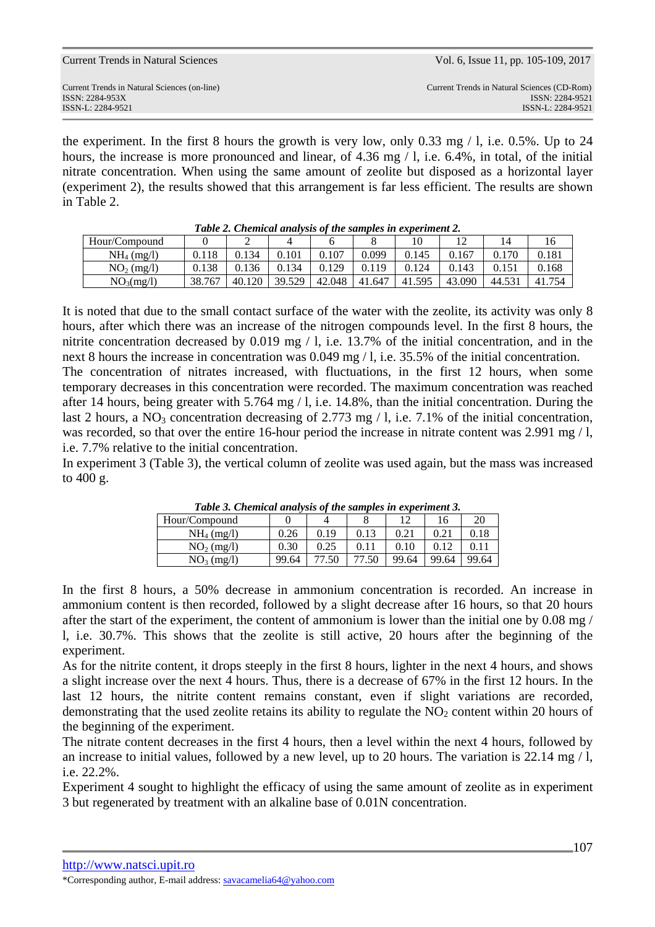| Curielli Tielius III Ivaluiai Scielices                         | $\sqrt{01}$ , 0, issue 11, pp. $103 - 107$ , 2017              |
|-----------------------------------------------------------------|----------------------------------------------------------------|
| Current Trends in Natural Sciences (on-line)<br>ISSN: 2284-953X | Current Trends in Natural Sciences (CD-Rom)<br>ISSN: 2284-9521 |
| ISSN-L: 2284-9521                                               | ISSN-L: 2284-9521                                              |

Current Trends in Natural Sciences Vol. 6, Issue 11, pp. 105-109, 2017

the experiment. In the first 8 hours the growth is very low, only 0.33 mg  $/1$ , i.e. 0.5%. Up to 24 hours, the increase is more pronounced and linear, of 4.36 mg / 1, i.e. 6.4%, in total, of the initial nitrate concentration. When using the same amount of zeolite but disposed as a horizontal layer (experiment 2), the results showed that this arrangement is far less efficient. The results are shown in Table 2.

| Table 2. Chemical analysis of the samples in experiment 2. |        |        |        |        |        |        |        |        |        |
|------------------------------------------------------------|--------|--------|--------|--------|--------|--------|--------|--------|--------|
| Hour/Compound                                              |        |        |        |        |        |        |        | 14     | 16     |
| NH <sub>4</sub> (mg/l)                                     | 0.118  | 0.134  | 0.101  | 0.107  | 0.099  | 0.145  | 0.167  | 0.170  | 0.181  |
| NO <sub>2</sub> (mg/l)                                     | 0.138  | 0.136  | 0.134  | 0.129  | 0.119  | 0.124  | 0.143  |        | 0.168  |
| NO <sub>3</sub> (mg/l)                                     | 38.767 | 40.120 | 39.529 | 42.048 | 41.647 | 41.595 | 43.090 | 44.531 | 41.754 |

| Table 2. Chemical analysis of the samples in experiment 2. |  |  |
|------------------------------------------------------------|--|--|
|                                                            |  |  |

It is noted that due to the small contact surface of the water with the zeolite, its activity was only 8 hours, after which there was an increase of the nitrogen compounds level. In the first 8 hours, the nitrite concentration decreased by 0.019 mg / l, i.e. 13.7% of the initial concentration, and in the next 8 hours the increase in concentration was 0.049 mg / l, i.e. 35.5% of the initial concentration.

The concentration of nitrates increased, with fluctuations, in the first 12 hours, when some temporary decreases in this concentration were recorded. The maximum concentration was reached after 14 hours, being greater with 5.764 mg / l, i.e. 14.8%, than the initial concentration. During the last 2 hours, a NO<sub>3</sub> concentration decreasing of 2.773 mg  $/ 1$ , i.e. 7.1% of the initial concentration, was recorded, so that over the entire 16-hour period the increase in nitrate content was 2.991 mg / l, i.e. 7.7% relative to the initial concentration.

In experiment 3 (Table 3), the vertical column of zeolite was used again, but the mass was increased to 400 g.

| Tuble 5. Chemical analysis of the samples in experiment 5. |       |       |       |       |       |       |  |
|------------------------------------------------------------|-------|-------|-------|-------|-------|-------|--|
| Hour/Compound                                              |       |       |       |       | 16    | 20    |  |
| NH <sub>4</sub> (mg/l)                                     | 0.26  | 0.19  | 0.13  | 0.21  | 0.21  | 0.18  |  |
| $NO2$ (mg/l)                                               | 0.30  | 0.25  | 0.11  | 0.10  | 0.12  | 0.11  |  |
| NO <sub>3</sub> (mg/l)                                     | 99.64 | 77.50 | 77.50 | 99.64 | 99.64 | 99.64 |  |

*Table 3. Chemical analysis of the samples in experiment 3.* 

In the first 8 hours, a 50% decrease in ammonium concentration is recorded. An increase in ammonium content is then recorded, followed by a slight decrease after 16 hours, so that 20 hours after the start of the experiment, the content of ammonium is lower than the initial one by 0.08 mg / l, i.e. 30.7%. This shows that the zeolite is still active, 20 hours after the beginning of the experiment.

As for the nitrite content, it drops steeply in the first 8 hours, lighter in the next 4 hours, and shows a slight increase over the next 4 hours. Thus, there is a decrease of 67% in the first 12 hours. In the last 12 hours, the nitrite content remains constant, even if slight variations are recorded, demonstrating that the used zeolite retains its ability to regulate the  $NO<sub>2</sub>$  content within 20 hours of the beginning of the experiment.

The nitrate content decreases in the first 4 hours, then a level within the next 4 hours, followed by an increase to initial values, followed by a new level, up to 20 hours. The variation is 22.14 mg / l, i.e. 22.2%.

Experiment 4 sought to highlight the efficacy of using the same amount of zeolite as in experiment 3 but regenerated by treatment with an alkaline base of 0.01N concentration.

<sup>\*</sup>Corresponding author, E-mail address: savacamelia64@yahoo.com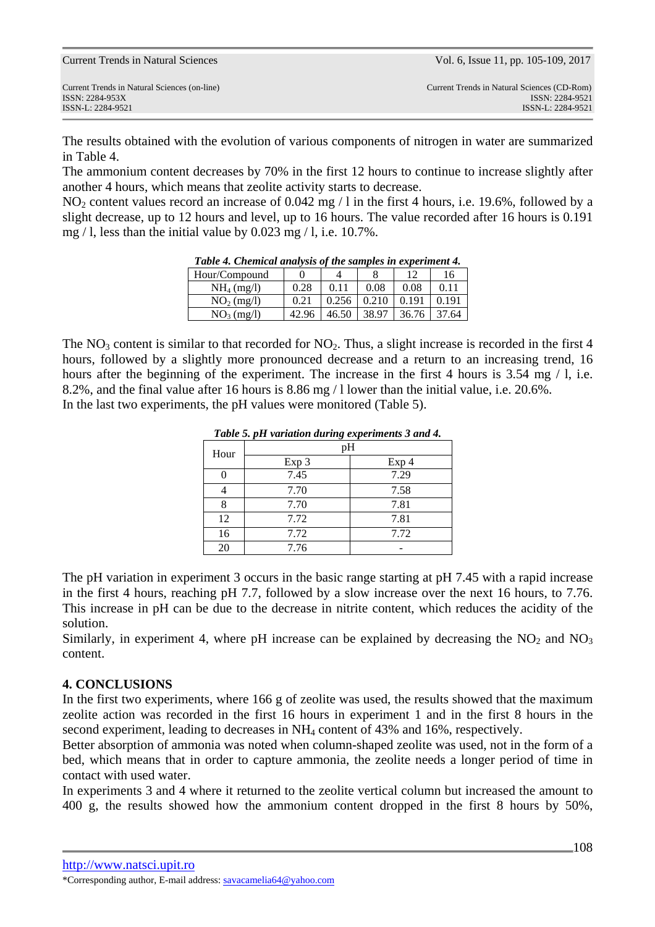The results obtained with the evolution of various components of nitrogen in water are summarized in Table 4.

The ammonium content decreases by 70% in the first 12 hours to continue to increase slightly after another 4 hours, which means that zeolite activity starts to decrease.

NO<sub>2</sub> content values record an increase of 0.042 mg / l in the first 4 hours, i.e. 19.6%, followed by a slight decrease, up to 12 hours and level, up to 16 hours. The value recorded after 16 hours is 0.191 mg / l, less than the initial value by 0.023 mg / l, i.e. 10.7%.

| Table 4. Chemical analysis of the samples in experiment 4. |       |       |       |       |       |  |
|------------------------------------------------------------|-------|-------|-------|-------|-------|--|
| Hour/Compound                                              |       |       |       |       | 16    |  |
| NH <sub>4</sub> (mg/l)                                     | 0.28  | 0.11  | 0.08  | 0.08  | 0.11  |  |
| $NO2$ (mg/l)                                               | 0.21  | 0.256 | 0.210 | 0.191 | 0.191 |  |
| NO <sub>3</sub> (mg/l)                                     | 42.96 | 46.50 | 38.97 | 36.76 | 37.64 |  |

*Table 4. Chemical analysis of the samples in experiment 4.* 

The  $NO<sub>3</sub>$  content is similar to that recorded for  $NO<sub>2</sub>$ . Thus, a slight increase is recorded in the first 4 hours, followed by a slightly more pronounced decrease and a return to an increasing trend, 16 hours after the beginning of the experiment. The increase in the first 4 hours is 3.54 mg / l, i.e. 8.2%, and the final value after 16 hours is 8.86 mg / l lower than the initial value, i.e. 20.6%. In the last two experiments, the pH values were monitored (Table 5).

| <b>Table 5. pH variation during experiments 3 and 4.</b> |       |                  |  |  |
|----------------------------------------------------------|-------|------------------|--|--|
| Hour                                                     | pH    |                  |  |  |
|                                                          | Exp 3 | Exp <sub>4</sub> |  |  |
|                                                          | 7.45  | 7.29             |  |  |
|                                                          | 7.70  | 7.58             |  |  |
| 8                                                        | 7.70  | 7.81             |  |  |
| 12                                                       | 7.72  | 7.81             |  |  |
| 16                                                       | 7.72  | 7.72             |  |  |
| 20                                                       | 7.76  |                  |  |  |

*Table 5. pH variation during experiments 3 and 4.*

The pH variation in experiment 3 occurs in the basic range starting at pH 7.45 with a rapid increase in the first 4 hours, reaching pH 7.7, followed by a slow increase over the next 16 hours, to 7.76. This increase in pH can be due to the decrease in nitrite content, which reduces the acidity of the solution.

Similarly, in experiment 4, where pH increase can be explained by decreasing the  $NO<sub>2</sub>$  and  $NO<sub>3</sub>$ content.

### **4. CONCLUSIONS**

In the first two experiments, where 166 g of zeolite was used, the results showed that the maximum zeolite action was recorded in the first 16 hours in experiment 1 and in the first 8 hours in the second experiment, leading to decreases in NH4 content of 43% and 16%, respectively.

Better absorption of ammonia was noted when column-shaped zeolite was used, not in the form of a bed, which means that in order to capture ammonia, the zeolite needs a longer period of time in contact with used water.

In experiments 3 and 4 where it returned to the zeolite vertical column but increased the amount to 400 g, the results showed how the ammonium content dropped in the first 8 hours by 50%,